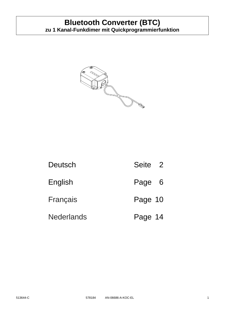

| Deutsch           | Seite 2 |
|-------------------|---------|
| English           | Page 6  |
| Français          | Page 10 |
| <b>Nederlands</b> | Page 14 |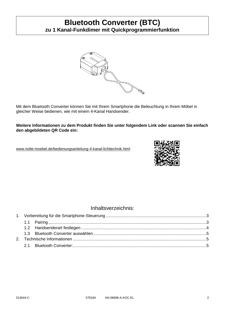

Mit dem Bluetooth Converter können Sie mit Ihrem Smartphone die Beleuchtung in Ihrem Möbel in gleicher Weise bedienen, wie mit einem 4-Kanal Handsender.

**Weitere Informationen zu dem Produkt finden Sie unter folgendem Link oder scannen Sie einfach den abgebildeten QR Code ein:**

[www.nolte-moebel.de/bedienungsanleitung-4-kanal-lichttechnik.html](http://www.nolte-moebel.de/bedienungsanleitung-4-kanal-lichttechnik.html)



### Inhaltsverzeichnis: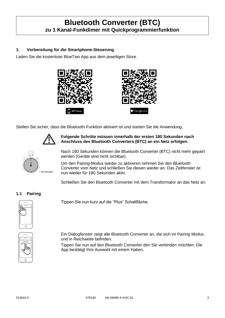### <span id="page-2-0"></span>**1. Vorbereitung für die Smartphone-Steuerung**

Laden Sie die kostenlose BlueTwo App aus dem jeweiligen Store.





Stellen Sie sicher, dass die Bluetooth-Funktion aktiviert ist und starten Sie die Anwendung.



### **Folgende Schritte müssen innerhalb der ersten 180 Sekunden nach Anschluss des Bluetooth Converters (BTC) an ein Netz erfolgen.**



Nach 180 Sekunden können die Bluetooth Converter (BTC) nicht mehr gepairt werden (Geräte sind nicht sichtbar).

Um den Pairing-Modus wieder zu aktiveren nehmen Sie den Bluetooth Converter vom Netz und schließen Sie diesen wieder an. Das Zeitfenster ist nun wieder für 180 Sekunden aktiv.

Schließen Sie den Bluetooth Converter mit dem Transformator an das Netz an.

### <span id="page-2-1"></span>**1.1 Pairing**



Tippen Sie nun kurz auf die "Plus" Schaltfläche.



Ein Dialogfenster zeigt alle Bluetooth Converter an, die sich im Pairing Modus und in Reichweite befinden.

Tippen Sie nun auf den Bluetooth Converter den Sie verbinden möchten. Die App bestätigt Ihre Auswahl mit einem Haken.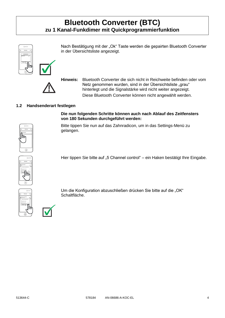in der Übersichtsliste angezeigt.



**Hinweis:** Bluetooth Converter die sich nicht in Reichweite befinden oder vom Netz genommen wurden, sind in der Übersichtsliste "grau" hinterlegt und die Signalstärke wird nicht weiter angezeigt. Diese Bluetooth Converter können nicht angewählt werden.

Nach Bestätigung mit der "Ok" Taste werden die gepairten Bluetooth Converter

### <span id="page-3-0"></span>**1.2 Handsenderart festlegen**

**Die nun folgenden Schritte können auch nach Ablauf des Zeitfensters von 180 Sekunden durchgeführt werden:**

Hier tippen Sie bitte auf "5 Channel control" – ein Haken bestätigt Ihre Eingabe.



Bitte tippen Sie nun auf das Zahnradicon, um in das Settings-Menü zu gelangen. Dimmer-14177259







Um die Konfiguration abzuschließen drücken Sie bitte auf die "OK" Schaltfläche.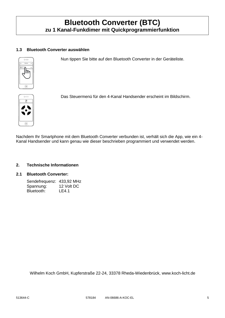### <span id="page-4-0"></span>**1.3 Bluetooth Converter auswählen**

Nun tippen Sie bitte auf den Bluetooth Converter in der Geräteliste.





 $\odot$ 

Das Steuermenü für den 4-Kanal Handsender erscheint im Bildschirm.

Nachdem Ihr Smartphone mit dem Bluetooth Converter verbunden ist, verhält sich die App, wie ein 4- Kanal Handsender und kann genau wie dieser beschrieben programmiert und verwendet werden.

#### <span id="page-4-1"></span>**2. Technische Informationen**

### <span id="page-4-2"></span>**2.1 Bluetooth Converter:**

| Sendefrequenz: 433,92 MHz |            |
|---------------------------|------------|
| Spannung:                 | 12 Volt DC |
| Bluetooth:                | LE4.1      |

Wilhelm Koch GmbH, Kupferstraße 22-24, 33378 Rheda-Wiedenbrück, www.koch-licht.de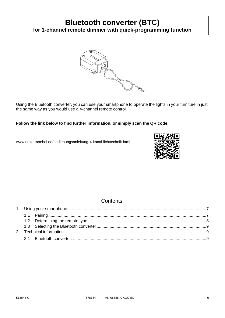

Using the Bluetooth converter, you can use your smartphone to operate the lights in your furniture in just the same way as you would use a 4-channel remote control.

**Follow the link below to find further information, or simply scan the QR code:**

[www.nolte-moebel.de/bedienungsanleitung-4-kanal-lichttechnik.html](http://www.nolte-moebel.de/bedienungsanleitung-4-kanal-lichttechnik.html)



### Contents: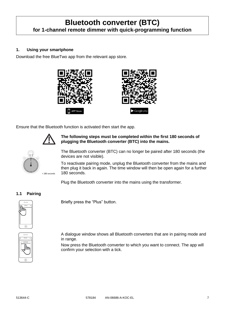### <span id="page-6-0"></span>**1. Using your smartphone**

Download the free BlueTwo app from the relevant app store.





Ensure that the Bluetooth function is activated then start the app.



**The following steps must be completed within the first 180 seconds of plugging the Bluetooth converter (BTC) into the mains.**



The Bluetooth converter (BTC) can no longer be paired after 180 seconds (the devices are not visible).

To reactivate pairing mode, unplug the Bluetooth converter from the mains and then plug it back in again. The time window will then be open again for a further 180 seconds.

Plug the Bluetooth converter into the mains using the transformer.

### <span id="page-6-1"></span>**1.1 Pairing**



Briefly press the "Plus" button.



A dialogue window shows all Bluetooth converters that are in pairing mode and in range.

Now press the Bluetooth converter to which you want to connect. The app will confirm your selection with a tick.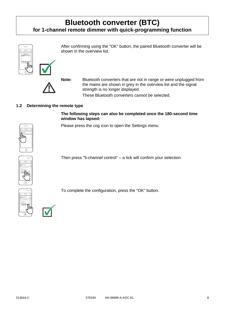shown in the overview list.





**Note:** Bluetooth converters that are not in range or were unplugged from

After confirming using the "OK" button, the paired Bluetooth converter will be

the mains are shown in grey in the overview list and the signal strength is no longer displayed.

These Bluetooth converters cannot be selected.

### <span id="page-7-0"></span>**1.2 Determining the remote type**

### **The following steps can also be completed once the 180-second time window has lapsed:**

Please press the cog icon to open the Settings menu.



Then press "5-channel control" – a tick will confirm your selection.





To complete the configuration, press the "OK" button.



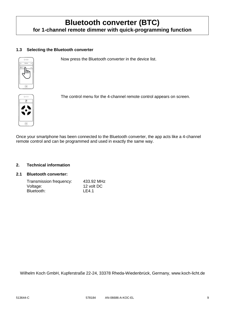### <span id="page-8-0"></span>**1.3 Selecting the Bluetooth converter**

Now press the Bluetooth converter in the device list.





 $\odot$ 

The control menu for the 4-channel remote control appears on screen.

Once your smartphone has been connected to the Bluetooth converter, the app acts like a 4-channel remote control and can be programmed and used in exactly the same way.

#### <span id="page-8-1"></span>**2. Technical information**

### <span id="page-8-2"></span>**2.1 Bluetooth converter:**

| Transmission frequency: | 433.92 MHz |
|-------------------------|------------|
| Voltage:                | 12 volt DC |
| Bluetooth:              | LE4.1      |

Wilhelm Koch GmbH, Kupferstraße 22-24, 33378 Rheda-Wiedenbrück, Germany, www.koch-licht.de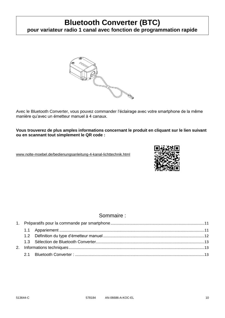# **Bluetooth Converter (BTC)**

**pour variateur radio 1 canal avec fonction de programmation rapide**



Avec le Bluetooth Converter, vous pouvez commander l'éclairage avec votre smartphone de la même manière qu'avec un émetteur manuel à 4 canaux.

**Vous trouverez de plus amples informations concernant le produit en cliquant sur le lien suivant ou en scannant tout simplement le QR code :**

[www.nolte-moebel.de/bedienungsanleitung-4-kanal-lichttechnik.html](http://www.nolte-moebel.de/bedienungsanleitung-4-kanal-lichttechnik.html)



### Sommaire :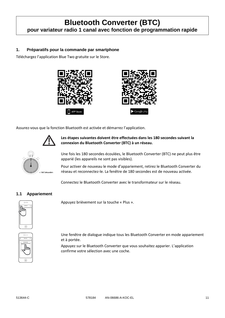# **Bluetooth Converter (BTC) pour variateur radio 1 canal avec fonction de programmation rapide**

### <span id="page-10-0"></span>**1. Préparatifs pour la commande par smartphone**

Téléchargez l'application Blue Two gratuite sur le Store.





Assurez-vous que la fonction Bluetooth est activée et démarrez l'application.



**Les étapes suivantes doivent être effectuées dans les 180 secondes suivant la connexion du Bluetooth Converter (BTC) à un réseau.**



Une fois les 180 secondes écoulées, le Bluetooth Converter (BTC) ne peut plus être apparié (les appareils ne sont pas visibles).

Pour activer de nouveau le mode d'appariement, retirez le Bluetooth Converter du réseau et reconnectez-le. La fenêtre de 180 secondes est de nouveau activée.

Connectez le Bluetooth Converter avec le transformateur sur le réseau.

### <span id="page-10-1"></span>**1.1 Appariement**



Appuyez brièvement sur la touche « Plus ».



Une fenêtre de dialogue indique tous les Bluetooth Converter en mode appariement et à portée.

Appuyez sur le Bluetooth Converter que vous souhaitez apparier. L'application confirme votre sélection avec une coche.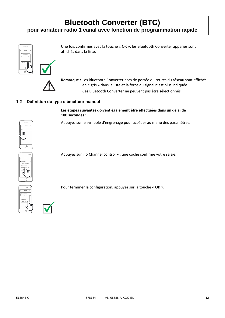# **Bluetooth Converter (BTC)**

### **pour variateur radio 1 canal avec fonction de programmation rapide**







**Remarque :** Les Bluetooth Converter hors de portée ou retirés du réseau sont affichés en « gris » dans la liste et la force du signal n'est plus indiquée. Ces Bluetooth Converter ne peuvent pas être sélectionnés.

Une fois confirmés avec la touche « OK », les Bluetooth Converter appariés sont

### <span id="page-11-0"></span>**1.2 Définition du type d'émetteur manuel**

affichés dans la liste.

### **Les étapes suivantes doivent également être effectuées dans un délai de 180 secondes :**

Appuyez sur le symbole d'engrenage pour accéder au menu des paramètres.



Devices <sub>Edit</sub> BTC-8016925 BTC Select 4 Channel Mode 2 Channel control Cancel **La**<sup>Ck</sup> 5 Channel control

Appuyez sur « 5 Channel control » ; une coche confirme votre saisie.





Pour terminer la configuration, appuyez sur la touche « OK ».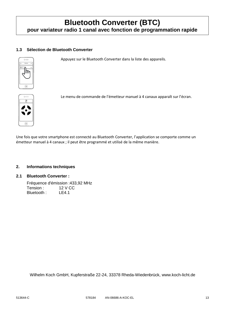# **Bluetooth Converter (BTC) pour variateur radio 1 canal avec fonction de programmation rapide**

### <span id="page-12-0"></span>**1.3 Sélection de Bluetooth Converter**

Appuyez sur le Bluetooth Converter dans la liste des appareils.



 $\odot$ 



Le menu de commande de l'émetteur manuel à 4 canaux apparaît sur l'écran.

Une fois que votre smartphone est connecté au Bluetooth Converter, l'application se comporte comme un émetteur manuel à 4 canaux ; il peut être programmé et utilisé de la même manière.

### <span id="page-12-1"></span>**2. Informations techniques**

#### <span id="page-12-2"></span>**2.1 Bluetooth Converter :**

Fréquence d'émission :433,92 MHz Tension : 12 V CC Bluetooth : LE4.1

Wilhelm Koch GmbH, Kupferstraße 22-24, 33378 Rheda-Wiedenbrück, www.koch-licht.de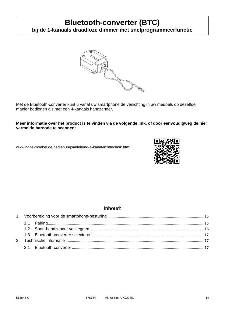# **Bluetooth-converter (BTC)**

**bij de 1-kanaals draadloze dimmer met snelprogrammeerfunctie**



Met de Bluetooth-converter kunt u vanaf uw smartphone de verlichting in uw meubels op dezelfde manier bedienen als met een 4-kanaals handzender.

**Meer informatie over het product is te vinden via de volgende link, of door eenvoudigweg de hier vermelde barcode te scannen:**

[www.nolte-moebel.de/bedienungsanleitung-4-kanal-lichttechnik.html](http://www.nolte-moebel.de/bedienungsanleitung-4-kanal-lichttechnik.html)



### Inhoud: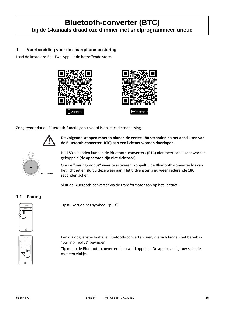# **Bluetooth-converter (BTC) bij de 1-kanaals draadloze dimmer met snelprogrammeerfunctie**

### <span id="page-14-0"></span>**1. Voorbereiding voor de smartphone-besturing**

Laad de kosteloze BlueTwo App uit de betreffende store.





Zorg ervoor dat de Bluetooth-functie geactiveerd is en start de toepassing.



**De volgende stappen moeten binnen de eerste 180 seconden na het aansluiten van de Bluetooth-converter (BTC) aan een lichtnet worden doorlopen.**



Na 180 seconden kunnen de Bluetooth-converters (BTC) niet meer aan elkaar worden gekoppeld (de apparaten zijn niet zichtbaar).

Om de "pairing-modus" weer te activeren, koppelt u de Bluetooth-converter los van het lichtnet en sluit u deze weer aan. Het tijdvenster is nu weer gedurende 180 seconden actief.

Sluit de Bluetooth-converter via de transformator aan op het lichtnet.

### <span id="page-14-1"></span>**1.1 Pairing**



Add devices Cancel Ok BTC-9016905 BTC Devices Edit Devices Edit Devices Edit Devices Edit Devices Edit Devices Edit Devices Edit Devices Edit Devices Edit Devices Edit Devices Edit Devices Edit Devices Edit Devices Edit Devices Edit Devices Edit Devices Edit D Tip nu kort op het symbool "plus".

Een dialoogvenster laat alle Bluetooth-converters zien, die zich binnen het bereik in "pairing-modus" bevinden.

Tip nu op de Bluetooth-converter die u wilt koppelen. De app bevestigt uw selectie met een vinkje.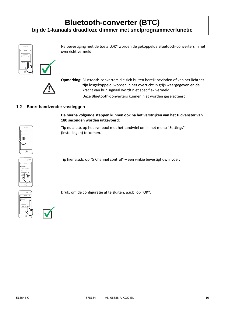## **Bluetooth-converter (BTC) bij de 1-kanaals draadloze dimmer met snelprogrammeerfunctie**



overzicht vermeld.



**Opmerking:** Bluetooth-converters die zich buiten bereik bevinden of van het lichtnet zijn losgekoppeld, worden in het overzicht in grijs weergegeven en de kracht van hun signaal wordt niet specifiek vermeld.

Deze Bluetooth-converters kunnen niet worden geselecteerd.

Na bevestiging met de toets "OK" worden de gekoppelde Bluetooth-converters in het

### <span id="page-15-0"></span>**1.2 Soort handzender vastleggen**



**De hierna volgende stappen kunnen ook na het verstrijken van het tijdvenster van 180 seconden worden uitgevoerd:**

Tip nu a.u.b. op het symbool met het tandwiel om in het menu "Settings" (instellingen) te komen.  $\blacksquare$ 



Tip hier a.u.b. op "5 Channel control" – een vinkje bevestigt uw invoer.





Druk, om de configuratie af te sluiten, a.u.b. op "OK".